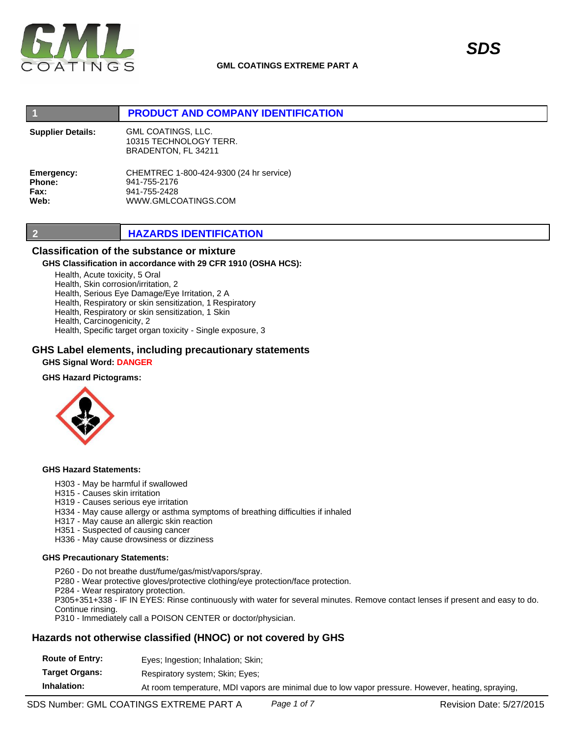

## **1 PRODUCT AND COMPANY IDENTIFICATION**

**Supplier Details:**

GML COATINGS, LLC. 10315 TECHNOLOGY TERR. BRADENTON, FL 34211

**Emergency: Phone: Fax: Web:**

CHEMTREC 1-800-424-9300 (24 hr service) 941-755-2176 941-755-2428 WWW.GMLCOATINGS.COM

## **2 HAZARDS IDENTIFICATION**

## **Classification of the substance or mixture**

## **GHS Classification in accordance with 29 CFR 1910 (OSHA HCS):**

Health, Acute toxicity, 5 Oral

Health, Skin corrosion/irritation, 2

Health, Serious Eye Damage/Eye Irritation, 2 A

Health, Respiratory or skin sensitization, 1 Respiratory

Health, Respiratory or skin sensitization, 1 Skin

Health, Carcinogenicity, 2

Health, Specific target organ toxicity - Single exposure, 3

## **GHS Label elements, including precautionary statements**

**GHS Signal Word: DANGER** 

### **GHS Hazard Pictograms:**



### **GHS Hazard Statements:**

- H303 May be harmful if swallowed
- H315 Causes skin irritation

H319 - Causes serious eye irritation

- H334 May cause allergy or asthma symptoms of breathing difficulties if inhaled
- H317 May cause an allergic skin reaction
- H351 Suspected of causing cancer

H336 - May cause drowsiness or dizziness

### **GHS Precautionary Statements:**

P260 - Do not breathe dust/fume/gas/mist/vapors/spray.

P280 - Wear protective gloves/protective clothing/eye protection/face protection.

P284 - Wear respiratory protection.

P305+351+338 - IF IN EYES: Rinse continuously with water for several minutes. Remove contact lenses if present and easy to do. Continue rinsing.

P310 - Immediately call a POISON CENTER or doctor/physician.

## **Hazards not otherwise classified (HNOC) or not covered by GHS**

**Route of Entry:** Eyes; Ingestion; Inhalation; Skin;

**Target Organs:** Respiratory system; Skin; Eyes;

**Inhalation:** At room temperature, MDI vapors are minimal due to low vapor pressure. However, heating, spraying,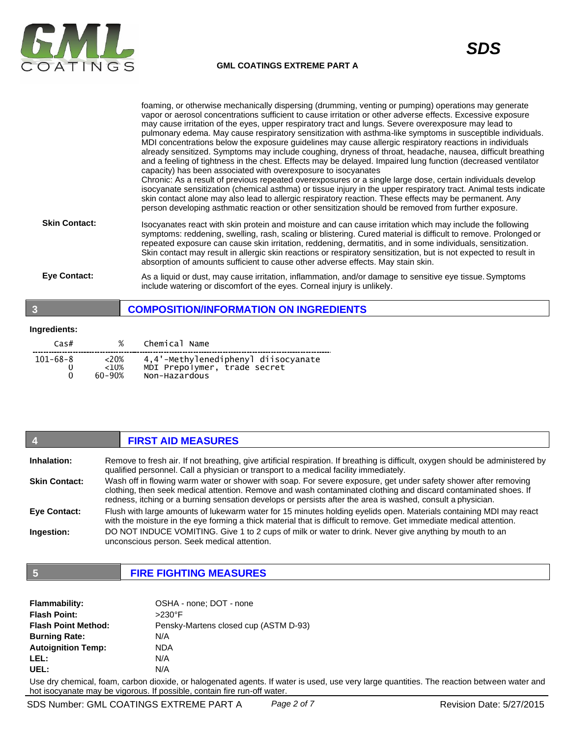

|                      | foaming, or otherwise mechanically dispersing (drumming, venting or pumping) operations may generate<br>vapor or aerosol concentrations sufficient to cause irritation or other adverse effects. Excessive exposure<br>may cause irritation of the eyes, upper respiratory tract and lungs. Severe overexposure may lead to<br>pulmonary edema. May cause respiratory sensitization with asthma-like symptoms in susceptible individuals.<br>MDI concentrations below the exposure guidelines may cause allergic respiratory reactions in individuals<br>already sensitized. Symptoms may include coughing, dryness of throat, headache, nausea, difficult breathing<br>and a feeling of tightness in the chest. Effects may be delayed. Impaired lung function (decreased ventilator<br>capacity) has been associated with overexposure to isocyanates<br>Chronic: As a result of previous repeated overexposures or a single large dose, certain individuals develop<br>isocyanate sensitization (chemical asthma) or tissue injury in the upper respiratory tract. Animal tests indicate<br>skin contact alone may also lead to allergic respiratory reaction. These effects may be permanent. Any<br>person developing asthmatic reaction or other sensitization should be removed from further exposure. |
|----------------------|---------------------------------------------------------------------------------------------------------------------------------------------------------------------------------------------------------------------------------------------------------------------------------------------------------------------------------------------------------------------------------------------------------------------------------------------------------------------------------------------------------------------------------------------------------------------------------------------------------------------------------------------------------------------------------------------------------------------------------------------------------------------------------------------------------------------------------------------------------------------------------------------------------------------------------------------------------------------------------------------------------------------------------------------------------------------------------------------------------------------------------------------------------------------------------------------------------------------------------------------------------------------------------------------------------------|
| <b>Skin Contact:</b> | Isocyanates react with skin protein and moisture and can cause irritation which may include the following<br>symptoms: reddening, swelling, rash, scaling or blistering. Cured material is difficult to remove. Prolonged or<br>repeated exposure can cause skin irritation, reddening, dermatitis, and in some individuals, sensitization.<br>Skin contact may result in allergic skin reactions or respiratory sensitization, but is not expected to result in<br>absorption of amounts sufficient to cause other adverse effects. May stain skin.                                                                                                                                                                                                                                                                                                                                                                                                                                                                                                                                                                                                                                                                                                                                                          |
| <b>Eve Contact:</b>  | As a liquid or dust, may cause irritation, inflammation, and/or damage to sensitive eye tissue. Symptoms<br>include watering or discomfort of the eyes. Corneal injury is unlikely.                                                                                                                                                                                                                                                                                                                                                                                                                                                                                                                                                                                                                                                                                                                                                                                                                                                                                                                                                                                                                                                                                                                           |

## **3 COMPOSITION/INFORMATION ON INGREDIENTS**

### **Ingredients:**

| Cas#          | %                             | Chemical Name                                                                        |
|---------------|-------------------------------|--------------------------------------------------------------------------------------|
| 101-68-8<br>0 | $~<$ 20%<br>$<10\%$<br>60-90% | 4,4'-Methylenediphenyl diisocyanate<br>MDI Prepolymer, trade secret<br>Non-Hazardous |

### **4 FIRST AID MEASURES Inhalation: Skin Contact: Eye Contact: Ingestion:** Remove to fresh air. If not breathing, give artificial respiration. If breathing is difficult, oxygen should be administered by qualified personnel. Call a physician or transport to a medical facility immediately. Wash off in flowing warm water or shower with soap. For severe exposure, get under safety shower after removing clothing, then seek medical attention. Remove and wash contaminated clothing and discard contaminated shoes. If redness, itching or a burning sensation develops or persists after the area is washed, consult a physician. Flush with large amounts of lukewarm water for 15 minutes holding eyelids open. Materials containing MDI may react with the moisture in the eye forming a thick material that is difficult to remove. Get immediate medical attention. DO NOT INDUCE VOMITING. Give 1 to 2 cups of milk or water to drink. Never give anything by mouth to an unconscious person. Seek medical attention.

# **5 FIRE FIGHTING MEASURES**

| OSHA - none; DOT - none               |
|---------------------------------------|
| $>230^\circ$ F                        |
| Pensky-Martens closed cup (ASTM D-93) |
| N/A                                   |
| <b>NDA</b>                            |
| N/A                                   |
| N/A                                   |
|                                       |

Use dry chemical, foam, carbon dioxide, or halogenated agents. If water is used, use very large quantities. The reaction between water and hot isocyanate may be vigorous. If possible, contain fire run-off water.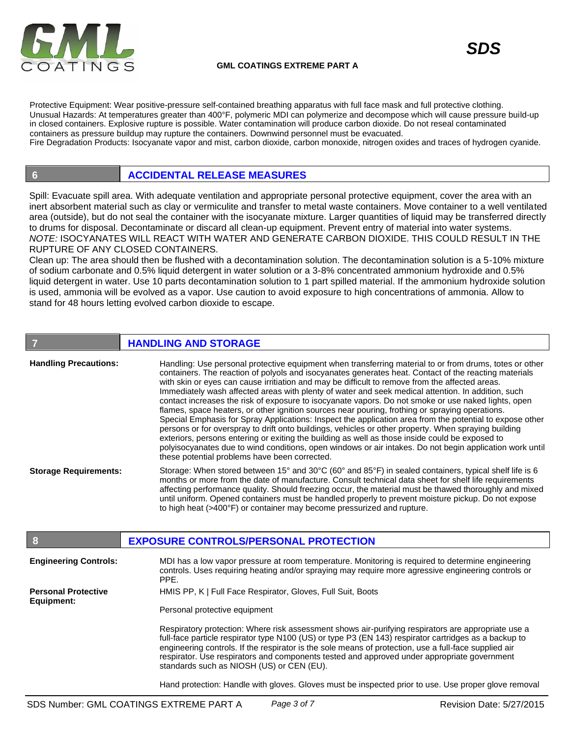

Protective Equipment: Wear positive-pressure self-contained breathing apparatus with full face mask and full protective clothing. Unusual Hazards: At temperatures greater than 400°F, polymeric MDI can polymerize and decompose which will cause pressure build-up in closed containers. Explosive rupture is possible. Water contamination will produce carbon dioxide. Do not reseal contaminated containers as pressure buildup may rupture the containers. Downwind personnel must be evacuated. Fire Degradation Products: Isocyanate vapor and mist, carbon dioxide, carbon monoxide, nitrogen oxides and traces of hydrogen cyanide.

# **6 ACCIDENTAL RELEASE MEASURES**

Spill: Evacuate spill area. With adequate ventilation and appropriate personal protective equipment, cover the area with an inert absorbent material such as clay or vermiculite and transfer to metal waste containers. Move container to a well ventilated area (outside), but do not seal the container with the isocyanate mixture. Larger quantities of liquid may be transferred directly to drums for disposal. Decontaminate or discard all clean-up equipment. Prevent entry of material into water systems. *NOTE:* ISOCYANATES WILL REACT WITH WATER AND GENERATE CARBON DIOXIDE. THIS COULD RESULT IN THE RUPTURE OF ANY CLOSED CONTAINERS.

Clean up: The area should then be flushed with a decontamination solution. The decontamination solution is a 5-10% mixture of sodium carbonate and 0.5% liquid detergent in water solution or a 3-8% concentrated ammonium hydroxide and 0.5% liquid detergent in water. Use 10 parts decontamination solution to 1 part spilled material. If the ammonium hydroxide solution is used, ammonia will be evolved as a vapor. Use caution to avoid exposure to high concentrations of ammonia. Allow to stand for 48 hours letting evolved carbon dioxide to escape.

|                              | <b>HANDLING AND STORAGE</b>                                                                                                                                                                                                                                                                                                                                                                                                                                                                                                                                                                                                                                                                                                                                                                                                                                                                                                                                                                                                                                                                                             |
|------------------------------|-------------------------------------------------------------------------------------------------------------------------------------------------------------------------------------------------------------------------------------------------------------------------------------------------------------------------------------------------------------------------------------------------------------------------------------------------------------------------------------------------------------------------------------------------------------------------------------------------------------------------------------------------------------------------------------------------------------------------------------------------------------------------------------------------------------------------------------------------------------------------------------------------------------------------------------------------------------------------------------------------------------------------------------------------------------------------------------------------------------------------|
| <b>Handling Precautions:</b> | Handling: Use personal protective equipment when transferring material to or from drums, totes or other<br>containers. The reaction of polyols and isocyanates generates heat. Contact of the reacting materials<br>with skin or eyes can cause irritiation and may be difficult to remove from the affected areas.<br>Immediately wash affected areas with plenty of water and seek medical attention. In addition, such<br>contact increases the risk of exposure to isocyanate vapors. Do not smoke or use naked lights, open<br>flames, space heaters, or other ignition sources near pouring, frothing or spraying operations.<br>Special Emphasis for Spray Applications: Inspect the application area from the potential to expose other<br>persons or for overspray to drift onto buildings, vehicles or other property. When spraying building<br>exteriors, persons entering or exiting the building as well as those inside could be exposed to<br>polyisocyanates due to wind conditions, open windows or air intakes. Do not begin application work until<br>these potential problems have been corrected. |
| <b>Storage Requirements:</b> | Storage: When stored between 15° and 30°C (60° and 85°F) in sealed containers, typical shelf life is 6<br>months or more from the date of manufacture. Consult technical data sheet for shelf life requirements<br>affecting performance quality. Should freezing occur, the material must be thawed thoroughly and mixed<br>until uniform. Opened containers must be handled properly to prevent moisture pickup. Do not expose<br>to high heat (>400°F) or container may become pressurized and rupture.                                                                                                                                                                                                                                                                                                                                                                                                                                                                                                                                                                                                              |
|                              | <b>EXPOSURE CONTROLS/PERSONAL PROTECTION</b>                                                                                                                                                                                                                                                                                                                                                                                                                                                                                                                                                                                                                                                                                                                                                                                                                                                                                                                                                                                                                                                                            |

| <b>Engineering Controls:</b>             | MDI has a low vapor pressure at room temperature. Monitoring is required to determine engineering<br>controls. Uses requiring heating and/or spraying may require more agressive engineering controls or<br>PPE.                                                                                                                                                                                                                                                  |
|------------------------------------------|-------------------------------------------------------------------------------------------------------------------------------------------------------------------------------------------------------------------------------------------------------------------------------------------------------------------------------------------------------------------------------------------------------------------------------------------------------------------|
| <b>Personal Protective</b><br>Equipment: | HMIS PP, K   Full Face Respirator, Gloves, Full Suit, Boots                                                                                                                                                                                                                                                                                                                                                                                                       |
|                                          | Personal protective equipment                                                                                                                                                                                                                                                                                                                                                                                                                                     |
|                                          | Respiratory protection: Where risk assessment shows air-purifying respirators are appropriate use a<br>full-face particle respirator type N100 (US) or type P3 (EN 143) respirator cartridges as a backup to<br>engineering controls. If the respirator is the sole means of protection, use a full-face supplied air<br>respirator. Use respirators and components tested and approved under appropriate government<br>standards such as NIOSH (US) or CEN (EU). |

Hand protection: Handle with gloves. Gloves must be inspected prior to use. Use proper glove removal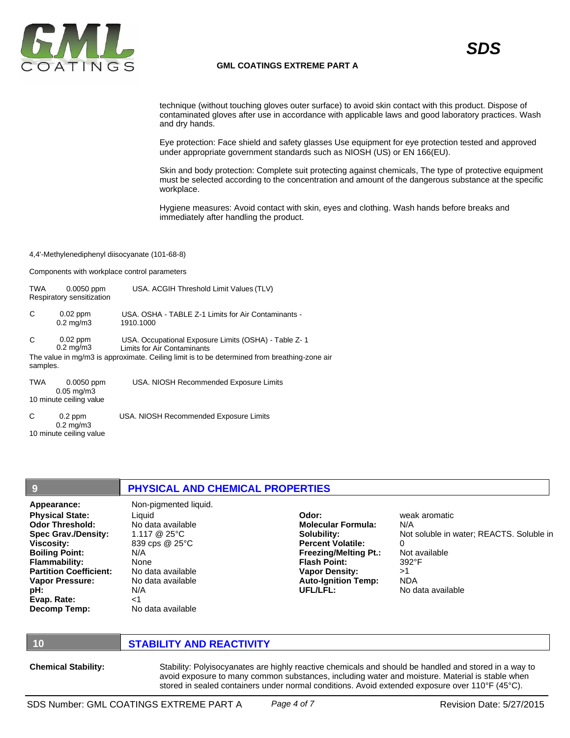

### **GML COATINGS EXTREME PART A**

technique (without touching gloves outer surface) to avoid skin contact with this product. Dispose of contaminated gloves after use in accordance with applicable laws and good laboratory practices. Wash and dry hands.

Eye protection: Face shield and safety glasses Use equipment for eye protection tested and approved under appropriate government standards such as NIOSH (US) or EN 166(EU).

Skin and body protection: Complete suit protecting against chemicals, The type of protective equipment must be selected according to the concentration and amount of the dangerous substance at the specific workplace.

Hygiene measures: Avoid contact with skin, eyes and clothing. Wash hands before breaks and immediately after handling the product.

### 4,4'-Methylenediphenyl diisocyanate (101-68-8)

Components with workplace control parameters

| TWA           | $0.0050$ ppm<br>Respiratory sensitization                           | USA. ACGIH Threshold Limit Values (TLV)                                                                                                                                                    |
|---------------|---------------------------------------------------------------------|--------------------------------------------------------------------------------------------------------------------------------------------------------------------------------------------|
| C             | $0.02$ ppm<br>$0.2 \text{ mg/m}$ 3                                  | USA, OSHA - TABLE Z-1 Limits for Air Contaminants -<br>1910.1000                                                                                                                           |
| C<br>samples. | $0.02$ ppm<br>$0.2 \text{ mg/m}$ 3                                  | USA. Occupational Exposure Limits (OSHA) - Table Z-1<br><b>Limits for Air Contaminants</b><br>The value in mg/m3 is approximate. Ceiling limit is to be determined from breathing-zone air |
| <b>TWA</b>    | $0.0050$ ppm<br>$0.05 \,\mathrm{mq/m}$ 3<br>10 minute ceiling value | USA. NIOSH Recommended Exposure Limits                                                                                                                                                     |
| C             | $0.2$ ppm<br>$0.2 \text{ mg/m}$ 3                                   | USA. NIOSH Recommended Exposure Limits                                                                                                                                                     |

**9 PHYSICAL AND CHEMICAL PROPERTIES Appearance:** Non-pigmented liquid. **Physical State: Odor Threshold: Spec Grav./Density: Viscosity: Boiling Point: Flammability:**  Liquid No data available 1.117 @ 25°C 839 cps @ 25°C N/A None **Odor: Molecular Formula: Solubility: Percent Volatile: Freezing/Melting Pt.: Flash Point:** weak aromatic N/A  $\Omega$ Not available 392°F

**Partition Coefficient: Vapor Pressure: pH: Evap. Rate: Decomp Temp:**

10 minute ceiling value

No data available No data available N/A <1 No data available

**Vapor Density: Auto-Ignition Temp: UFL/LFL:**

Not soluble in water; REACTS. Soluble in >1 NDA No data available

## **10 STABILITY AND REACTIVITY**

**Chemical Stability:** Stability: Polyisocyanates are highly reactive chemicals and should be handled and stored in a way to avoid exposure to many common substances, including water and moisture. Material is stable when stored in sealed containers under normal conditions. Avoid extended exposure over 110°F (45°C).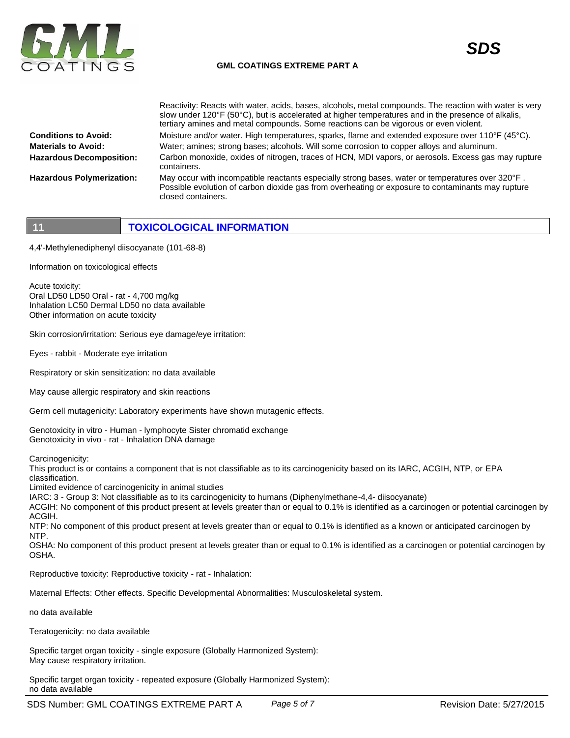

### **GML COATINGS EXTREME PART A**

Reactivity: Reacts with water, acids, bases, alcohols, metal compounds. The reaction with water is very



**Conditions to Avoid: Materials to Avoid: Hazardous Decomposition: Hazardous Polymerization:** slow under 120°F (50°C), but is accelerated at higher temperatures and in the presence of alkalis, tertiary amines and metal compounds. Some reactions can be vigorous or even violent. Moisture and/or water. High temperatures, sparks, flame and extended exposure over 110°F (45°C). Water; amines; strong bases; alcohols. Will some corrosion to copper alloys and aluminum. Carbon monoxide, oxides of nitrogen, traces of HCN, MDI vapors, or aerosols. Excess gas may rupture containers. May occur with incompatible reactants especially strong bases, water or temperatures over 320°F. Possible evolution of carbon dioxide gas from overheating or exposure to contaminants may rupture closed containers.

# **11 TOXICOLOGICAL INFORMATION**

4,4'-Methylenediphenyl diisocyanate (101-68-8)

Information on toxicological effects

Acute toxicity: Oral LD50 LD50 Oral - rat - 4,700 mg/kg Inhalation LC50 Dermal LD50 no data available Other information on acute toxicity

Skin corrosion/irritation: Serious eye damage/eye irritation:

Eyes - rabbit - Moderate eye irritation

Respiratory or skin sensitization: no data available

May cause allergic respiratory and skin reactions

Germ cell mutagenicity: Laboratory experiments have shown mutagenic effects.

Genotoxicity in vitro - Human - lymphocyte Sister chromatid exchange Genotoxicity in vivo - rat - Inhalation DNA damage

Carcinogenicity:

This product is or contains a component that is not classifiable as to its carcinogenicity based on its IARC, ACGIH, NTP, or EPA classification.

Limited evidence of carcinogenicity in animal studies

IARC: 3 - Group 3: Not classifiable as to its carcinogenicity to humans (Diphenylmethane-4,4- diisocyanate)

ACGIH: No component of this product present at levels greater than or equal to 0.1% is identified as a carcinogen or potential carcinogen by ACGIH.

NTP: No component of this product present at levels greater than or equal to 0.1% is identified as a known or anticipated carcinogen by NTP.

OSHA: No component of this product present at levels greater than or equal to 0.1% is identified as a carcinogen or potential carcinogen by OSHA.

Reproductive toxicity: Reproductive toxicity - rat - Inhalation:

Maternal Effects: Other effects. Specific Developmental Abnormalities: Musculoskeletal system.

no data available

Teratogenicity: no data available

Specific target organ toxicity - single exposure (Globally Harmonized System): May cause respiratory irritation.

Specific target organ toxicity - repeated exposure (Globally Harmonized System): no data available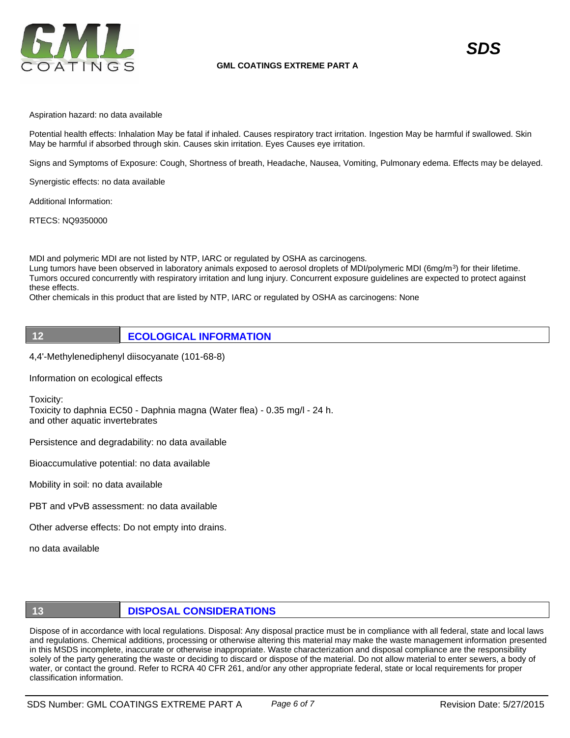

Aspiration hazard: no data available

Potential health effects: Inhalation May be fatal if inhaled. Causes respiratory tract irritation. Ingestion May be harmful if swallowed. Skin May be harmful if absorbed through skin. Causes skin irritation. Eyes Causes eye irritation.

Signs and Symptoms of Exposure: Cough, Shortness of breath, Headache, Nausea, Vomiting, Pulmonary edema. Effects may be delayed.

Synergistic effects: no data available

Additional Information:

RTECS: NQ9350000

MDI and polymeric MDI are not listed by NTP, IARC or regulated by OSHA as carcinogens.

Lung tumors have been observed in laboratory animals exposed to aerosol droplets of MDI/polymeric MDI (6mg/m<sup>3</sup>) for their lifetime. Tumors occured concurrently with respiratory irritation and lung injury. Concurrent exposure guidelines are expected to protect against these effects.

Other chemicals in this product that are listed by NTP, IARC or regulated by OSHA as carcinogens: None



**12 ECOLOGICAL INFORMATION** 

4,4'-Methylenediphenyl diisocyanate (101-68-8)

Information on ecological effects

Toxicity:

Toxicity to daphnia EC50 - Daphnia magna (Water flea) - 0.35 mg/l - 24 h. and other aquatic invertebrates

Persistence and degradability: no data available

Bioaccumulative potential: no data available

Mobility in soil: no data available

PBT and vPvB assessment: no data available

Other adverse effects: Do not empty into drains.

no data available

# **13 DISPOSAL CONSIDERATIONS**

Dispose of in accordance with local regulations. Disposal: Any disposal practice must be in compliance with all federal, state and local laws and regulations. Chemical additions, processing or otherwise altering this material may make the waste management information presented in this MSDS incomplete, inaccurate or otherwise inappropriate. Waste characterization and disposal compliance are the responsibility solely of the party generating the waste or deciding to discard or dispose of the material. Do not allow material to enter sewers, a body of water, or contact the ground. Refer to RCRA 40 CFR 261, and/or any other appropriate federal, state or local requirements for proper classification information.